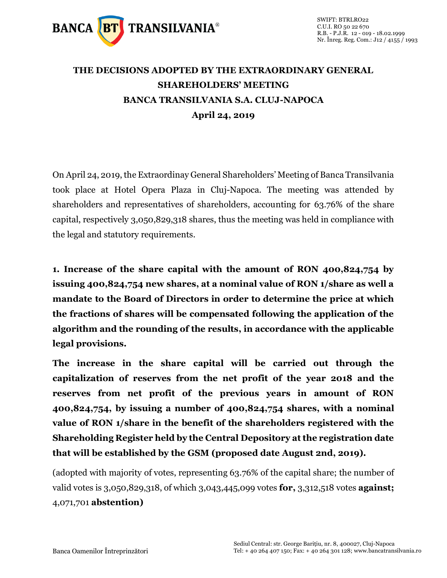

## **THE DECISIONS ADOPTED BY THE EXTRAORDINARY GENERAL SHAREHOLDERS' MEETING BANCA TRANSILVANIA S.A. CLUJ-NAPOCA April 24, 2019**

On April 24, 2019, the Extraordinay General Shareholders' Meeting of Banca Transilvania took place at Hotel Opera Plaza in Cluj-Napoca. The meeting was attended by shareholders and representatives of shareholders, accounting for 63.76% of the share capital, respectively 3,050,829,318 shares, thus the meeting was held in compliance with the legal and statutory requirements.

**1. Increase of the share capital with the amount of RON 400,824,754 by issuing 400,824,754 new shares, at a nominal value of RON 1/share as well a mandate to the Board of Directors in order to determine the price at which the fractions of shares will be compensated following the application of the algorithm and the rounding of the results, in accordance with the applicable legal provisions.** 

**The increase in the share capital will be carried out through the capitalization of reserves from the net profit of the year 2018 and the reserves from net profit of the previous years in amount of RON 400,824,754, by issuing a number of 400,824,754 shares, with a nominal value of RON 1/share in the benefit of the shareholders registered with the Shareholding Register held by the Central Depository at the registration date that will be established by the GSM (proposed date August 2nd, 2019).**

(adopted with majority of votes, representing 63.76% of the capital share; the number of valid votes is 3,050,829,318, of which 3,043,445,099 votes **for,** 3,312,518 votes **against;** 4,071,701 **abstention)**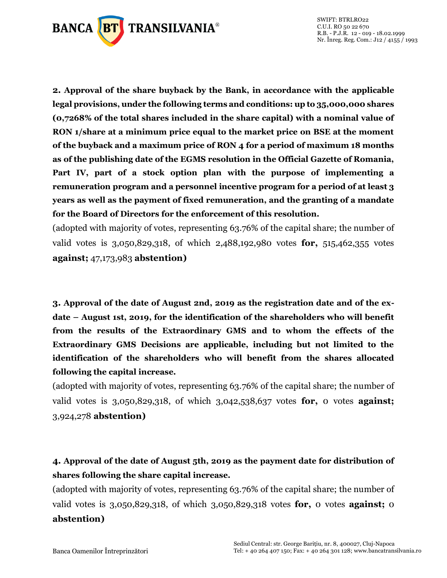

**2. Approval of the share buyback by the Bank, in accordance with the applicable legal provisions, under the following terms and conditions: up to 35,000,000 shares (0,7268% of the total shares included in the share capital) with a nominal value of RON 1/share at a minimum price equal to the market price on BSE at the moment of the buyback and a maximum price of RON 4 for a period of maximum 18 months as of the publishing date of the EGMS resolution in the Official Gazette of Romania, Part IV, part of a stock option plan with the purpose of implementing a remuneration program and a personnel incentive program for a period of at least 3 years as well as the payment of fixed remuneration, and the granting of a mandate for the Board of Directors for the enforcement of this resolution.**

(adopted with majority of votes, representing 63.76% of the capital share; the number of valid votes is 3,050,829,318, of which 2,488,192,980 votes **for,** 515,462,355 votes **against;** 47,173,983 **abstention)**

**3. Approval of the date of August 2nd, 2019 as the registration date and of the exdate – August 1st, 2019, for the identification of the shareholders who will benefit from the results of the Extraordinary GMS and to whom the effects of the Extraordinary GMS Decisions are applicable, including but not limited to the identification of the shareholders who will benefit from the shares allocated following the capital increase.**

(adopted with majority of votes, representing 63.76% of the capital share; the number of valid votes is 3,050,829,318, of which 3,042,538,637 votes **for,** 0 votes **against;** 3,924,278 **abstention)**

## **4. Approval of the date of August 5th, 2019 as the payment date for distribution of shares following the share capital increase.**

(adopted with majority of votes, representing 63.76% of the capital share; the number of valid votes is 3,050,829,318, of which 3,050,829,318 votes **for,** 0 votes **against;** 0 **abstention)**